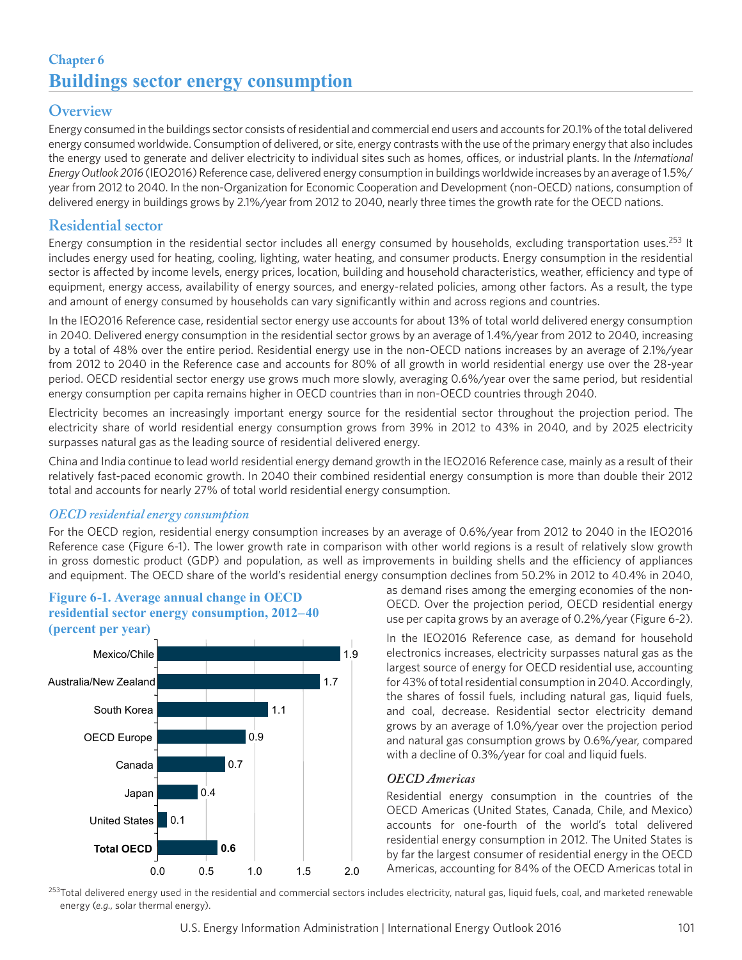# **Chapter 6 Buildings sector energy consumption**

# **Overview**

Energy consumed in the buildings sector consists of residential and commercial end users and accounts for 20.1% of the total delivered energy consumed worldwide. Consumption of delivered, or site, energy contrasts with the use of the primary energy that also includes the energy used to generate and deliver electricity to individual sites such as homes, offices, or industrial plants. In the *International Energy Outlook 2016* (IEO2016) Reference case, delivered energy consumption in buildings worldwide increases by an average of 1.5%/ year from 2012 to 2040. In the non-Organization for Economic Cooperation and Development (non-OECD) nations, consumption of delivered energy in buildings grows by 2.1%/year from 2012 to 2040, nearly three times the growth rate for the OECD nations.

### **Residential sector**

Energy consumption in the residential sector includes all energy consumed by households, excluding transportation uses.<sup>253</sup> It includes energy used for heating, cooling, lighting, water heating, and consumer products. Energy consumption in the residential sector is affected by income levels, energy prices, location, building and household characteristics, weather, efficiency and type of equipment, energy access, availability of energy sources, and energy-related policies, among other factors. As a result, the type and amount of energy consumed by households can vary significantly within and across regions and countries.

In the IEO2016 Reference case, residential sector energy use accounts for about 13% of total world delivered energy consumption in 2040. Delivered energy consumption in the residential sector grows by an average of 1.4%/year from 2012 to 2040, increasing by a total of 48% over the entire period. Residential energy use in the non-OECD nations increases by an average of 2.1%/year from 2012 to 2040 in the Reference case and accounts for 80% of all growth in world residential energy use over the 28-year period. OECD residential sector energy use grows much more slowly, averaging 0.6%/year over the same period, but residential energy consumption per capita remains higher in OECD countries than in non-OECD countries through 2040.

Electricity becomes an increasingly important energy source for the residential sector throughout the projection period. The electricity share of world residential energy consumption grows from 39% in 2012 to 43% in 2040, and by 2025 electricity surpasses natural gas as the leading source of residential delivered energy.

China and India continue to lead world residential energy demand growth in the IEO2016 Reference case, mainly as a result of their relatively fast-paced economic growth. In 2040 their combined residential energy consumption is more than double their 2012 total and accounts for nearly 27% of total world residential energy consumption.

#### *OECD residential energy consumption*

For the OECD region, residential energy consumption increases by an average of 0.6%/year from 2012 to 2040 in the IEO2016 Reference case (Figure 6-1). The lower growth rate in comparison with other world regions is a result of relatively slow growth in gross domestic product (GDP) and population, as well as improvements in building shells and the efficiency of appliances and equipment. The OECD share of the world's residential energy consumption declines from 50.2% in 2012 to 40.4% in 2040,

### **Figure 6-1. Average annual change in OECD residential sector energy consumption, 2012–40 (percent per year)**



as demand rises among the emerging economies of the non-OECD. Over the projection period, OECD residential energy use per capita grows by an average of 0.2%/year (Figure 6-2).

In the IEO2016 Reference case, as demand for household electronics increases, electricity surpasses natural gas as the largest source of energy for OECD residential use, accounting for 43% of total residential consumption in 2040. Accordingly, the shares of fossil fuels, including natural gas, liquid fuels, and coal, decrease. Residential sector electricity demand grows by an average of 1.0%/year over the projection period and natural gas consumption grows by 0.6%/year, compared with a decline of 0.3%/year for coal and liquid fuels.

#### *OECD Americas*

Residential energy consumption in the countries of the OECD Americas (United States, Canada, Chile, and Mexico) accounts for one-fourth of the world's total delivered residential energy consumption in 2012. The United States is by far the largest consumer of residential energy in the OECD Americas, accounting for 84% of the OECD Americas total in

<sup>253</sup>Total delivered energy used in the residential and commercial sectors includes electricity, natural gas, liquid fuels, coal, and marketed renewable energy (*e.g.,* solar thermal energy).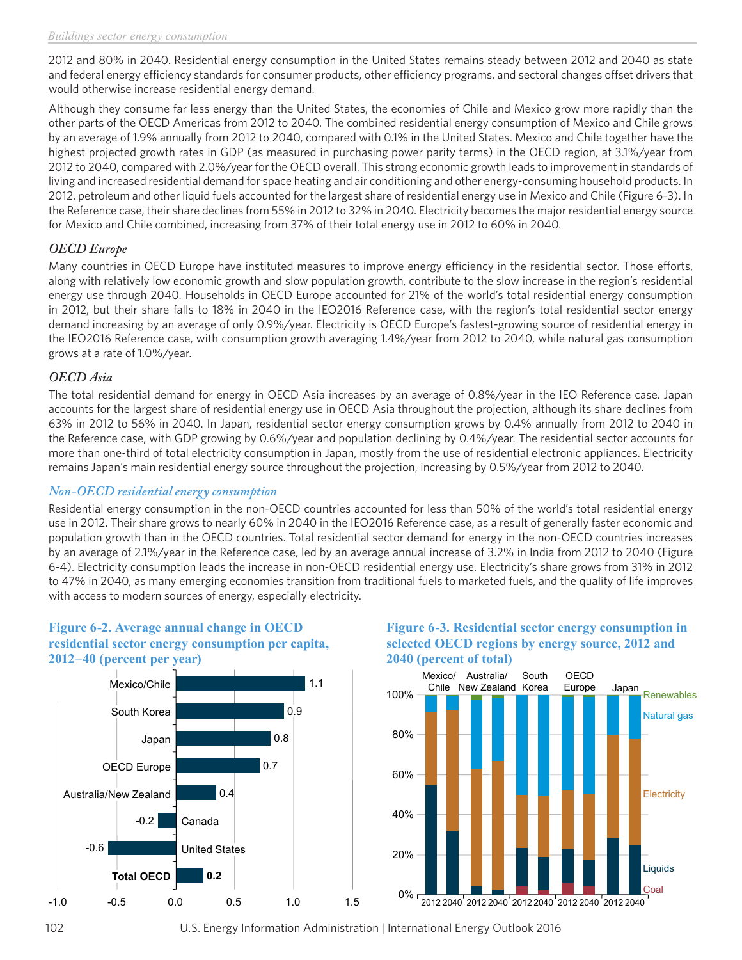2012 and 80% in 2040. Residential energy consumption in the United States remains steady between 2012 and 2040 as state and federal energy efficiency standards for consumer products, other efficiency programs, and sectoral changes offset drivers that would otherwise increase residential energy demand.

Although they consume far less energy than the United States, the economies of Chile and Mexico grow more rapidly than the other parts of the OECD Americas from 2012 to 2040. The combined residential energy consumption of Mexico and Chile grows by an average of 1.9% annually from 2012 to 2040, compared with 0.1% in the United States. Mexico and Chile together have the highest projected growth rates in GDP (as measured in purchasing power parity terms) in the OECD region, at 3.1%/year from 2012 to 2040, compared with 2.0%/year for the OECD overall. This strong economic growth leads to improvement in standards of living and increased residential demand for space heating and air conditioning and other energy-consuming household products. In 2012, petroleum and other liquid fuels accounted for the largest share of residential energy use in Mexico and Chile (Figure 6-3). In the Reference case, their share declines from 55% in 2012 to 32% in 2040. Electricity becomes the major residential energy source for Mexico and Chile combined, increasing from 37% of their total energy use in 2012 to 60% in 2040.

### *OECD Europe*

Many countries in OECD Europe have instituted measures to improve energy efficiency in the residential sector. Those efforts, along with relatively low economic growth and slow population growth, contribute to the slow increase in the region's residential energy use through 2040. Households in OECD Europe accounted for 21% of the world's total residential energy consumption in 2012, but their share falls to 18% in 2040 in the IEO2016 Reference case, with the region's total residential sector energy demand increasing by an average of only 0.9%/year. Electricity is OECD Europe's fastest-growing source of residential energy in the IEO2016 Reference case, with consumption growth averaging 1.4%/year from 2012 to 2040, while natural gas consumption grows at a rate of 1.0%/year.

# *OECD Asia*

The total residential demand for energy in OECD Asia increases by an average of 0.8%/year in the IEO Reference case. Japan accounts for the largest share of residential energy use in OECD Asia throughout the projection, although its share declines from 63% in 2012 to 56% in 2040. In Japan, residential sector energy consumption grows by 0.4% annually from 2012 to 2040 in the Reference case, with GDP growing by 0.6%/year and population declining by 0.4%/year. The residential sector accounts for more than one-third of total electricity consumption in Japan, mostly from the use of residential electronic appliances. Electricity remains Japan's main residential energy source throughout the projection, increasing by 0.5%/year from 2012 to 2040.

### *Non-OECD residential energy consumption*

Residential energy consumption in the non-OECD countries accounted for less than 50% of the world's total residential energy use in 2012. Their share grows to nearly 60% in 2040 in the IEO2016 Reference case, as a result of generally faster economic and population growth than in the OECD countries. Total residential sector demand for energy in the non-OECD countries increases by an average of 2.1%/year in the Reference case, led by an average annual increase of 3.2% in India from 2012 to 2040 (Figure 6-4). Electricity consumption leads the increase in non-OECD residential energy use. Electricity's share grows from 31% in 2012 to 47% in 2040, as many emerging economies transition from traditional fuels to marketed fuels, and the quality of life improves with access to modern sources of energy, especially electricity.





### **Figure 6-3. Residential sector energy consumption in selected OECD regions by energy source, 2012 and 2040 (percent of total)**

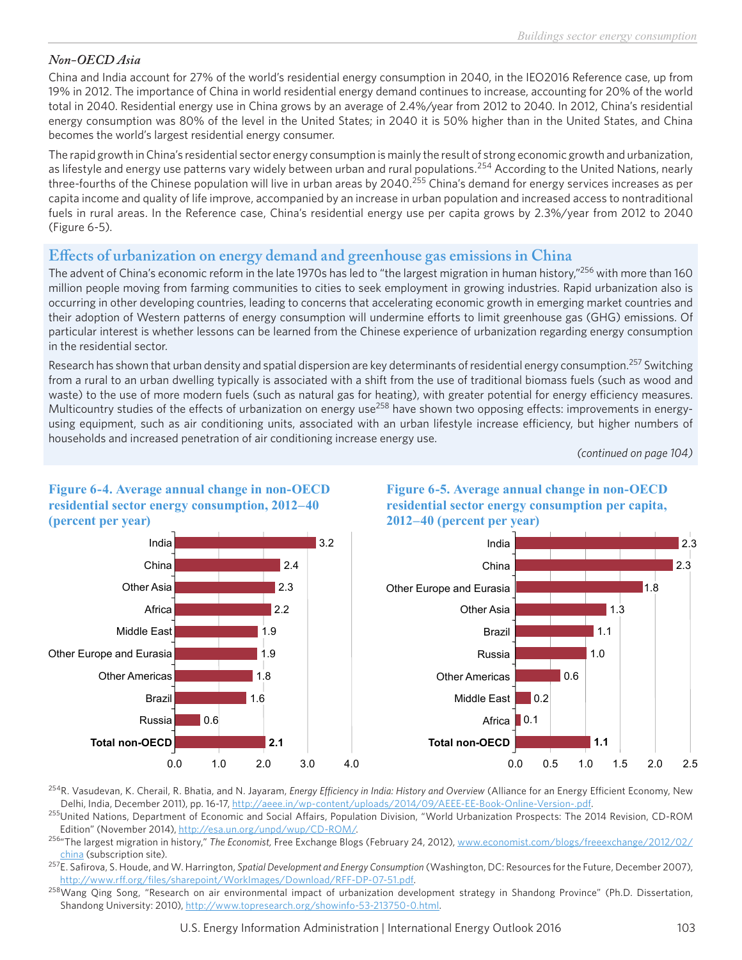### *Non-OECD Asia*

China and India account for 27% of the world's residential energy consumption in 2040, in the IEO2016 Reference case, up from 19% in 2012. The importance of China in world residential energy demand continues to increase, accounting for 20% of the world total in 2040. Residential energy use in China grows by an average of 2.4%/year from 2012 to 2040. In 2012, China's residential energy consumption was 80% of the level in the United States; in 2040 it is 50% higher than in the United States, and China becomes the world's largest residential energy consumer.

The rapid growth in China's residential sector energy consumption is mainly the result of strong economic growth and urbanization, as lifestyle and energy use patterns vary widely between urban and rural populations.<sup>254</sup> According to the United Nations, nearly three-fourths of the Chinese population will live in urban areas by 2040.<sup>255</sup> China's demand for energy services increases as per capita income and quality of life improve, accompanied by an increase in urban population and increased access to nontraditional fuels in rural areas. In the Reference case, China's residential energy use per capita grows by 2.3%/year from 2012 to 2040 (Figure 6-5).

### **Effects of urbanization on energy demand and greenhouse gas emissions in China**

The advent of China's economic reform in the late 1970s has led to "the largest migration in human history,"<sup>256</sup> with more than 160 million people moving from farming communities to cities to seek employment in growing industries. Rapid urbanization also is occurring in other developing countries, leading to concerns that accelerating economic growth in emerging market countries and their adoption of Western patterns of energy consumption will undermine efforts to limit greenhouse gas (GHG) emissions. Of particular interest is whether lessons can be learned from the Chinese experience of urbanization regarding energy consumption in the residential sector.

Research has shown that urban density and spatial dispersion are key determinants of residential energy consumption.<sup>257</sup> Switching from a rural to an urban dwelling typically is associated with a shift from the use of traditional biomass fuels (such as wood and waste) to the use of more modern fuels (such as natural gas for heating), with greater potential for energy efficiency measures. Multicountry studies of the effects of urbanization on energy use<sup>258</sup> have shown two opposing effects: improvements in energyusing equipment, such as air conditioning units, associated with an urban lifestyle increase efficiency, but higher numbers of households and increased penetration of air conditioning increase energy use.

*(continued on page 104)*



**Figure 6-4. Average annual change in non-OECD** 

### **Figure 6-5. Average annual change in non-OECD residential sector energy consumption per capita, 2012–40 (percent per year)**



254R. Vasudevan, K. Cherail, R. Bhatia, and N. Jayaram, *Energy Efficiency in India: History and Overview* (Alliance for an Energy Efficient Economy, New Delhi, India, December 2011), pp. 16-17, [http://aeee.in/wp-content/uploads/2014/09/AEEE-EE-Book-Online-Version-.pdf.](http://aeee.in/wp-content/uploads/2014/09/AEEE-EE-Book-Online-Version-.pdf)

255United Nations, Department of Economic and Social Affairs, Population Division, "World Urbanization Prospects: The 2014 Revision, CD-ROM Edition" (November 2014), [http://esa.un.org/unpd/wup/CD-ROM/.](http://esa.un.org/unpd/wup/CD-ROM/)

256"The largest migration in history," *The Economist,* Free Exchange Blogs (February 24, 2012), [www.economist.com/blogs/freeexchange/2012/02/](www.economist.com/blogs/freeexchange/2012/02/china) [china](www.economist.com/blogs/freeexchange/2012/02/china) (subscription site).

257E. Safirova, S. Houde, and W. Harrington, *Spatial Development and Energy Consumption* (Washington, DC: Resources for the Future, December 2007), <http://www.rff.org/files/sharepoint/WorkImages/Download/RFF-DP-07-51.pdf>.

<sup>258</sup>Wang Qing Song, "Research on air environmental impact of urbanization development strategy in Shandong Province" (Ph.D. Dissertation, Shandong University: 2010), [http://www.topresearch.org/showinfo-53-213750-0.html.](http://www.topresearch.org/showinfo-53-213750-0.html)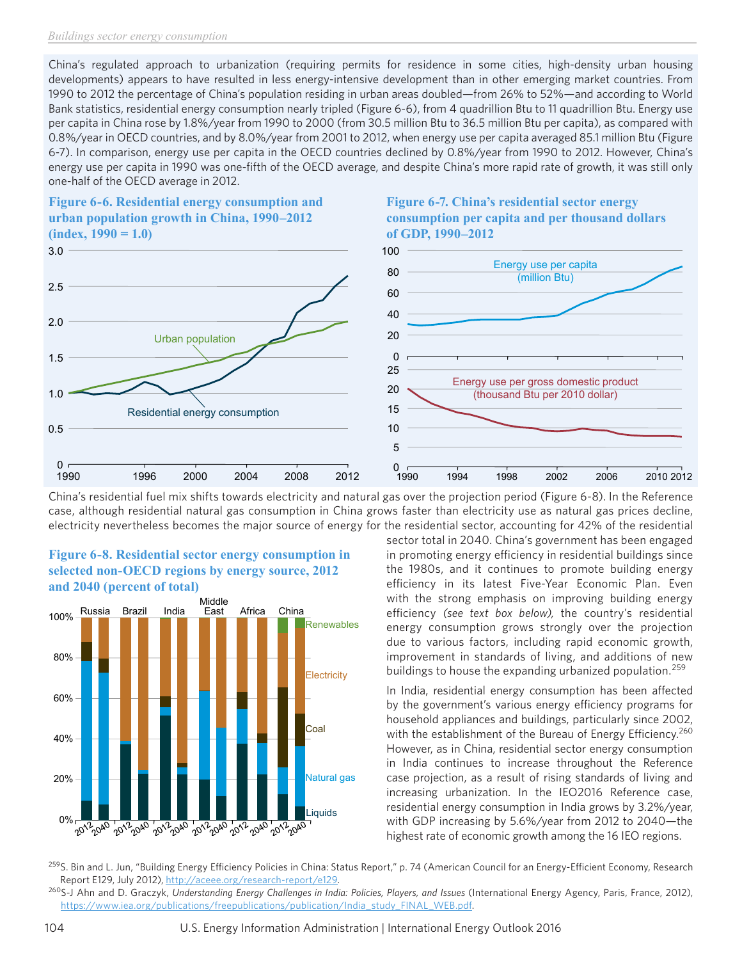China's regulated approach to urbanization (requiring permits for residence in some cities, high-density urban housing developments) appears to have resulted in less energy-intensive development than in other emerging market countries. From 1990 to 2012 the percentage of China's population residing in urban areas doubled—from 26% to 52%—and according to World Bank statistics, residential energy consumption nearly tripled (Figure 6-6), from 4 quadrillion Btu to 11 quadrillion Btu. Energy use per capita in China rose by 1.8%/year from 1990 to 2000 (from 30.5 million Btu to 36.5 million Btu per capita), as compared with 0.8%/year in OECD countries, and by 8.0%/year from 2001 to 2012, when energy use per capita averaged 85.1 million Btu (Figure 6-7). In comparison, energy use per capita in the OECD countries declined by 0.8%/year from 1990 to 2012. However, China's energy use per capita in 1990 was one-fifth of the OECD average, and despite China's more rapid rate of growth, it was still only one-half of the OECD average in 2012.

#### **Figure 6-6. Residential energy consumption and urban population growth in China, 1990–2012 (index, 1990 = 1.0)**



#### **Figure 6-7. China's residential sector energy consumption per capita and per thousand dollars of GDP, 1990–2012**



China's residential fuel mix shifts towards electricity and natural gas over the projection period (Figure 6-8). In the Reference case, although residential natural gas consumption in China grows faster than electricity use as natural gas prices decline, electricity nevertheless becomes the major source of energy for the residential sector, accounting for 42% of the residential

### **Figure 6-8. Residential sector energy consumption in selected non-OECD regions by energy source, 2012 and 2040 (percent of total)**



sector total in 2040. China's government has been engaged in promoting energy efficiency in residential buildings since the 1980s, and it continues to promote building energy efficiency in its latest Five-Year Economic Plan. Even with the strong emphasis on improving building energy efficiency *(see text box below),* the country's residential energy consumption grows strongly over the projection due to various factors, including rapid economic growth, improvement in standards of living, and additions of new buildings to house the expanding urbanized population.<sup>259</sup>

In India, residential energy consumption has been affected by the government's various energy efficiency programs for household appliances and buildings, particularly since 2002, with the establishment of the Bureau of Energy Efficiency.<sup>260</sup> However, as in China, residential sector energy consumption in India continues to increase throughout the Reference case projection, as a result of rising standards of living and increasing urbanization. In the IEO2016 Reference case, residential energy consumption in India grows by 3.2%/year, with GDP increasing by 5.6%/year from 2012 to 2040—the highest rate of economic growth among the 16 IEO regions.

<sup>259</sup>S. Bin and L. Jun, "Building Energy Efficiency Policies in China: Status Report," p. 74 (American Council for an Energy-Efficient Economy, Research Report E129, July 2012), [http://aceee.org/research-report/e129.](http://aceee.org/research-report/e129)

<sup>260</sup>S-J Ahn and D. Graczyk, Understanding Energy Challenges in India: Policies, Players, and Issues (International Energy Agency, Paris, France, 2012), [https://www.iea.org/publications/freepublications/publication/India\\_study\\_FINAL\\_WEB.pdf.](https://www.iea.org/publications/freepublications/publication/India_study_FINAL_WEB.pdf)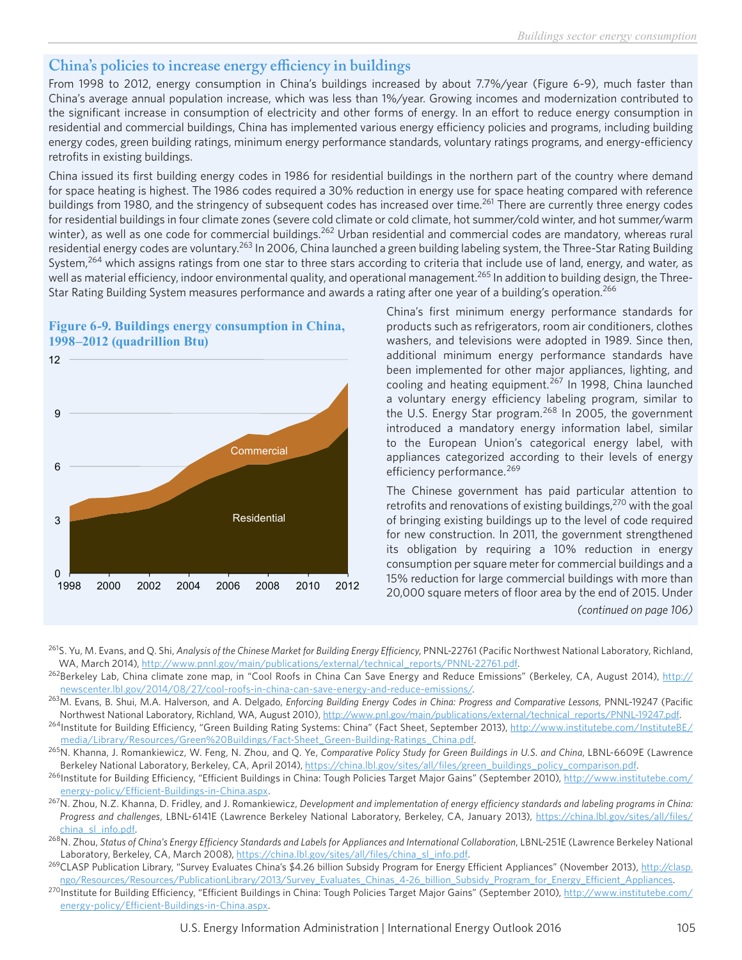### **China's policies to increase energy efficiency in buildings**

From 1998 to 2012, energy consumption in China's buildings increased by about 7.7%/year (Figure 6-9), much faster than China's average annual population increase, which was less than 1%/year. Growing incomes and modernization contributed to the significant increase in consumption of electricity and other forms of energy. In an effort to reduce energy consumption in residential and commercial buildings, China has implemented various energy efficiency policies and programs, including building energy codes, green building ratings, minimum energy performance standards, voluntary ratings programs, and energy-efficiency retrofits in existing buildings.

China issued its first building energy codes in 1986 for residential buildings in the northern part of the country where demand for space heating is highest. The 1986 codes required a 30% reduction in energy use for space heating compared with reference buildings from 1980, and the stringency of subsequent codes has increased over time.<sup>261</sup> There are currently three energy codes for residential buildings in four climate zones (severe cold climate or cold climate, hot summer/cold winter, and hot summer/warm winter), as well as one code for commercial buildings.<sup>262</sup> Urban residential and commercial codes are mandatory, whereas rural residential energy codes are voluntary.<sup>263</sup> In 2006, China launched a green building labeling system, the Three-Star Rating Building System,<sup>264</sup> which assigns ratings from one star to three stars according to criteria that include use of land, energy, and water, as well as material efficiency, indoor environmental quality, and operational management.<sup>265</sup> In addition to building design, the Three-Star Rating Building System measures performance and awards a rating after one year of a building's operation.<sup>266</sup>

### **Figure 6-9. Buildings energy consumption in China, 1998–2012 (quadrillion Btu)**



China's first minimum energy performance standards for products such as refrigerators, room air conditioners, clothes washers, and televisions were adopted in 1989. Since then, additional minimum energy performance standards have been implemented for other major appliances, lighting, and cooling and heating equipment.<sup>267</sup> In 1998, China launched a voluntary energy efficiency labeling program, similar to the U.S. Energy Star program.<sup>268</sup> In 2005, the government introduced a mandatory energy information label, similar to the European Union's categorical energy label, with appliances categorized according to their levels of energy efficiency performance.<sup>269</sup>

The Chinese government has paid particular attention to retrofits and renovations of existing buildings,<sup>270</sup> with the goal of bringing existing buildings up to the level of code required for new construction. In 2011, the government strengthened its obligation by requiring a 10% reduction in energy consumption per square meter for commercial buildings and a 15% reduction for large commercial buildings with more than 20,000 square meters of floor area by the end of 2015. Under *(continued on page 106)*

261S. Yu, M. Evans, and Q. Shi, *Analysis of the Chinese Market for Building Energy Efficiency*, PNNL-22761 (Pacific Northwest National Laboratory, Richland, WA, March 2014), [http://www.pnnl.gov/main/publications/external/technical\\_reports/PNNL-22761.pdf](http://www.pnnl.gov/main/publications/external/technical_reports/PNNL-22761.pdf).

<sup>262</sup>Berkeley Lab, China climate zone map, in "Cool Roofs in China Can Save Energy and Reduce Emissions" (Berkeley, CA, August 2014), [http://](http://newscenter.lbl.gov/2014/08/27/cool-roofs-in-china-can-save-energy-and-reduce-emissions/) [newscenter.lbl.gov/2014/08/27/cool-roofs-in-china-can-save-energy-and-reduce-emissions/.](http://newscenter.lbl.gov/2014/08/27/cool-roofs-in-china-can-save-energy-and-reduce-emissions/)

263M. Evans, B. Shui, M.A. Halverson, and A. Delgado, *Enforcing Building Energy Codes in China: Progress and Comparative Lessons*, PNNL-19247 (Pacific Northwest National Laboratory, Richland, WA, August 2010), [http://www.pnl.gov/main/publications/external/technical\\_reports/PNNL-19247.pdf.](http://www.pnl.gov/main/publications/external/technical_reports/PNNL-19247.pdf)

265N. Khanna, J. Romankiewicz, W. Feng, N. Zhou, and Q. Ye, *Comparative Policy Study for Green Buildings in U.S. and China*, LBNL-6609E (Lawrence Berkeley National Laboratory, Berkeley, CA, April 2014), [https://china.lbl.gov/sites/all/files/green\\_buildings\\_policy\\_comparison.pdf](https://china.lbl.gov/sites/all/files/green_buildings_policy_comparison.pdf).

268N. Zhou, *Status of China's Energy Efficiency Standards and Labels for Appliances and International Collaboration*, LBNL-251E (Lawrence Berkeley National Laboratory, Berkeley, CA, March 2008), [https://china.lbl.gov/sites/all/files/china\\_sl\\_info.pdf](https://china.lbl.gov/sites/all/files/china_sl_info.pdf).

<sup>&</sup>lt;sup>264</sup>Institute for Building Efficiency, "Green Building Rating Systems: China" (Fact Sheet, September 2013), [http://www.institutebe.com/InstituteBE/](http://www.institutebe.com/InstituteBE/media/Library/Resources/Green%20Buildings/Fact-Sheet_Green-Building-Ratings_China.pdf) [media/Library/Resources/Green%20Buildings/Fact-Sheet\\_Green-Building-Ratings\\_China.pdf](http://www.institutebe.com/InstituteBE/media/Library/Resources/Green%20Buildings/Fact-Sheet_Green-Building-Ratings_China.pdf).

<sup>&</sup>lt;sup>266</sup>Institute for Building Efficiency, "Efficient Buildings in China: Tough Policies Target Major Gains" (September 2010), [http://www.institutebe.com/](http://www.institutebe.com/energy-policy/Efficient-Buildings-in-China.aspx) [energy-policy/Efficient-Buildings-in-China.aspx](http://www.institutebe.com/energy-policy/Efficient-Buildings-in-China.aspx).

<sup>267</sup>N. Zhou, N.Z. Khanna, D. Fridley, and J. Romankiewicz, *Development and implementation of energy efficiency standards and labeling programs in China: Progress and challenges*, LBNL-6141E (Lawrence Berkeley National Laboratory, Berkeley, CA, January 2013), [https://china.lbl.gov/sites/all/files/](https://china.lbl.gov/sites/all/files/china_sl_info.pdf) [china\\_sl\\_info.pdf](https://china.lbl.gov/sites/all/files/china_sl_info.pdf).

<sup>&</sup>lt;sup>269</sup>CLASP Publication Library, "Survey Evaluates China's \$4.26 billion Subsidy Program for Energy Efficient Appliances" (November 2013), [http://clasp.](http://clasp.ngo/Resources/Resources/PublicationLibrary/2013/Survey_Evaluates_Chinas_4-26_billion_Subsidy_Program_for_Energy_Efficient_Appliances) [ngo/Resources/Resources/PublicationLibrary/2013/Survey\\_Evaluates\\_Chinas\\_4-26\\_billion\\_Subsidy\\_Program\\_for\\_Energy\\_Efficient\\_Appliances](http://clasp.ngo/Resources/Resources/PublicationLibrary/2013/Survey_Evaluates_Chinas_4-26_billion_Subsidy_Program_for_Energy_Efficient_Appliances).

<sup>&</sup>lt;sup>270</sup>Institute for Building Efficiency, "Efficient Buildings in China: Tough Policies Target Major Gains" (September 2010), [http://www.institutebe.com/](http://www.institutebe.com/energy-policy/Efficient-Buildings-in-China.aspx) [energy-policy/Efficient-Buildings-in-China.aspx](http://www.institutebe.com/energy-policy/Efficient-Buildings-in-China.aspx).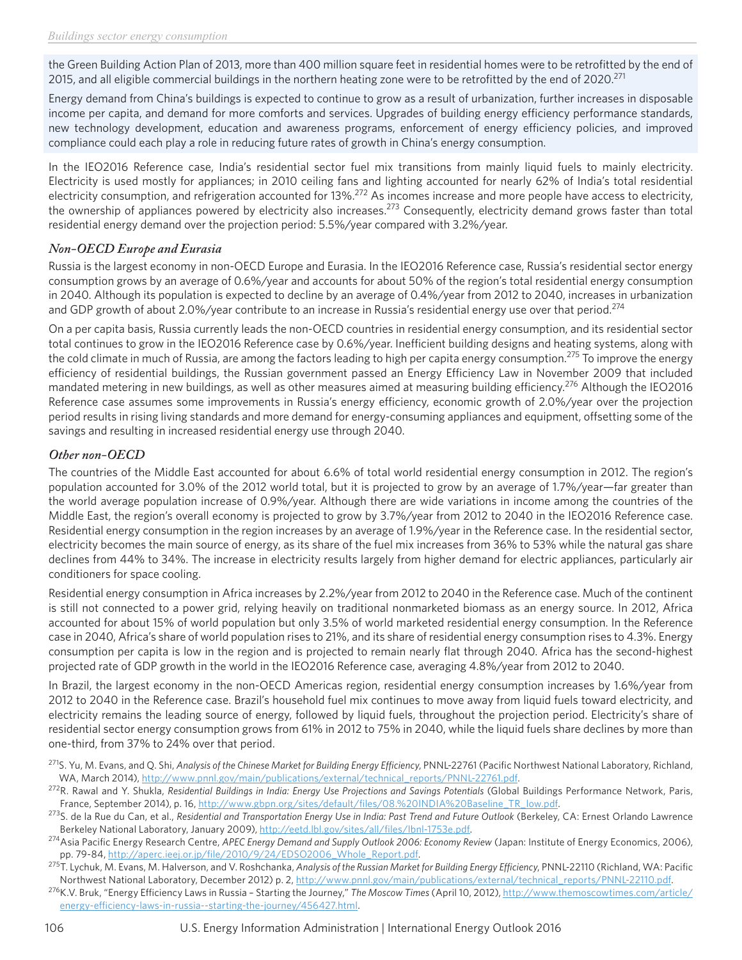the Green Building Action Plan of 2013, more than 400 million square feet in residential homes were to be retrofitted by the end of 2015, and all eligible commercial buildings in the northern heating zone were to be retrofitted by the end of  $2020$ <sup>271</sup>

Energy demand from China's buildings is expected to continue to grow as a result of urbanization, further increases in disposable income per capita, and demand for more comforts and services. Upgrades of building energy efficiency performance standards, new technology development, education and awareness programs, enforcement of energy efficiency policies, and improved compliance could each play a role in reducing future rates of growth in China's energy consumption.

In the IEO2016 Reference case, India's residential sector fuel mix transitions from mainly liquid fuels to mainly electricity. Electricity is used mostly for appliances; in 2010 ceiling fans and lighting accounted for nearly 62% of India's total residential electricity consumption, and refrigeration accounted for 13%.<sup>272</sup> As incomes increase and more people have access to electricity, the ownership of appliances powered by electricity also increases.<sup>273</sup> Consequently, electricity demand grows faster than total residential energy demand over the projection period: 5.5%/year compared with 3.2%/year.

### *Non-OECD Europe and Eurasia*

Russia is the largest economy in non-OECD Europe and Eurasia. In the IEO2016 Reference case, Russia's residential sector energy consumption grows by an average of 0.6%/year and accounts for about 50% of the region's total residential energy consumption in 2040. Although its population is expected to decline by an average of 0.4%/year from 2012 to 2040, increases in urbanization and GDP growth of about 2.0%/year contribute to an increase in Russia's residential energy use over that period.<sup>274</sup>

On a per capita basis, Russia currently leads the non-OECD countries in residential energy consumption, and its residential sector total continues to grow in the IEO2016 Reference case by 0.6%/year. Inefficient building designs and heating systems, along with the cold climate in much of Russia, are among the factors leading to high per capita energy consumption.<sup>275</sup> To improve the energy efficiency of residential buildings, the Russian government passed an Energy Efficiency Law in November 2009 that included mandated metering in new buildings, as well as other measures aimed at measuring building efficiency.<sup>276</sup> Although the IEO2016 Reference case assumes some improvements in Russia's energy efficiency, economic growth of 2.0%/year over the projection period results in rising living standards and more demand for energy-consuming appliances and equipment, offsetting some of the savings and resulting in increased residential energy use through 2040.

# *Other non-OECD*

The countries of the Middle East accounted for about 6.6% of total world residential energy consumption in 2012. The region's population accounted for 3.0% of the 2012 world total, but it is projected to grow by an average of 1.7%/year—far greater than the world average population increase of 0.9%/year. Although there are wide variations in income among the countries of the Middle East, the region's overall economy is projected to grow by 3.7%/year from 2012 to 2040 in the IEO2016 Reference case. Residential energy consumption in the region increases by an average of 1.9%/year in the Reference case. In the residential sector, electricity becomes the main source of energy, as its share of the fuel mix increases from 36% to 53% while the natural gas share declines from 44% to 34%. The increase in electricity results largely from higher demand for electric appliances, particularly air conditioners for space cooling.

Residential energy consumption in Africa increases by 2.2%/year from 2012 to 2040 in the Reference case. Much of the continent is still not connected to a power grid, relying heavily on traditional nonmarketed biomass as an energy source. In 2012, Africa accounted for about 15% of world population but only 3.5% of world marketed residential energy consumption. In the Reference case in 2040, Africa's share of world population rises to 21%, and its share of residential energy consumption rises to 4.3%. Energy consumption per capita is low in the region and is projected to remain nearly flat through 2040. Africa has the second-highest projected rate of GDP growth in the world in the IEO2016 Reference case, averaging 4.8%/year from 2012 to 2040.

In Brazil, the largest economy in the non-OECD Americas region, residential energy consumption increases by 1.6%/year from 2012 to 2040 in the Reference case. Brazil's household fuel mix continues to move away from liquid fuels toward electricity, and electricity remains the leading source of energy, followed by liquid fuels, throughout the projection period. Electricity's share of residential sector energy consumption grows from 61% in 2012 to 75% in 2040, while the liquid fuels share declines by more than one-third, from 37% to 24% over that period.

<sup>271</sup>S. Yu, M. Evans, and Q. Shi, *Analysis of the Chinese Market for Building Energy Efficiency*, PNNL-22761 (Pacific Northwest National Laboratory, Richland, WA, March 2014), [http://www.pnnl.gov/main/publications/external/technical\\_reports/PNNL-22761.pdf](http://www.pnnl.gov/main/publications/external/technical_reports/PNNL-22761.pdf).

<sup>272</sup>R. Rawal and Y. Shukla, *Residential Buildings in India: Energy Use Projections and Savings Potentials* (Global Buildings Performance Network, Paris, France, September 2014), p. 16, [http://www.gbpn.org/sites/default/files/08.%20INDIA%20Baseline\\_TR\\_low.pdf.](http://www.gbpn.org/sites/default/files/08.%20INDIA%20Baseline_TR_low.pdf)

<sup>273</sup>S. de la Rue du Can, et al., *Residential and Transportation Energy Use in India: Past Trend and Future Outlook* (Berkeley, CA: Ernest Orlando Lawrence Berkeley National Laboratory, January 2009), [http://eetd.lbl.gov/sites/all/files/lbnl-1753e.pdf.](http://eetd.lbl.gov/sites/all/files/lbnl-1753e.pdf)

<sup>274</sup>Asia Pacific Energy Research Centre, *APEC Energy Demand and Supply Outlook 2006: Economy Review* (Japan: Institute of Energy Economics, 2006), pp. 79-84, [http://aperc.ieej.or.jp/file/2010/9/24/EDSO2006\\_Whole\\_Report.pdf](http://aperc.ieej.or.jp/file/2010/9/24/EDSO2006_Whole_Report.pdf).

<sup>275</sup>T. Lychuk, M. Evans, M. Halverson, and V. Roshchanka, *Analysis of the Russian Market for Building Energy Efficiency*, PNNL-22110 (Richland, WA: Pacific Northwest National Laboratory, December 2012) p. 2, [http://www.pnnl.gov/main/publications/external/technical\\_reports/PNNL-22110.pdf](http://www.pnnl.gov/main/publications/external/technical_reports/PNNL-22110.pdf).

<sup>276</sup>K.V. Bruk, "Energy Efficiency Laws in Russia – Starting the Journey," *The Moscow Times* (April 10, 2012), [http://www.themoscowtimes.com/article/](http://www.themoscowtimes.com/article/energy-efficiency-laws-in-russia--starting-the-journey/456427.html) [energy-efficiency-laws-in-russia--starting-the-journey/456427.html](http://www.themoscowtimes.com/article/energy-efficiency-laws-in-russia--starting-the-journey/456427.html).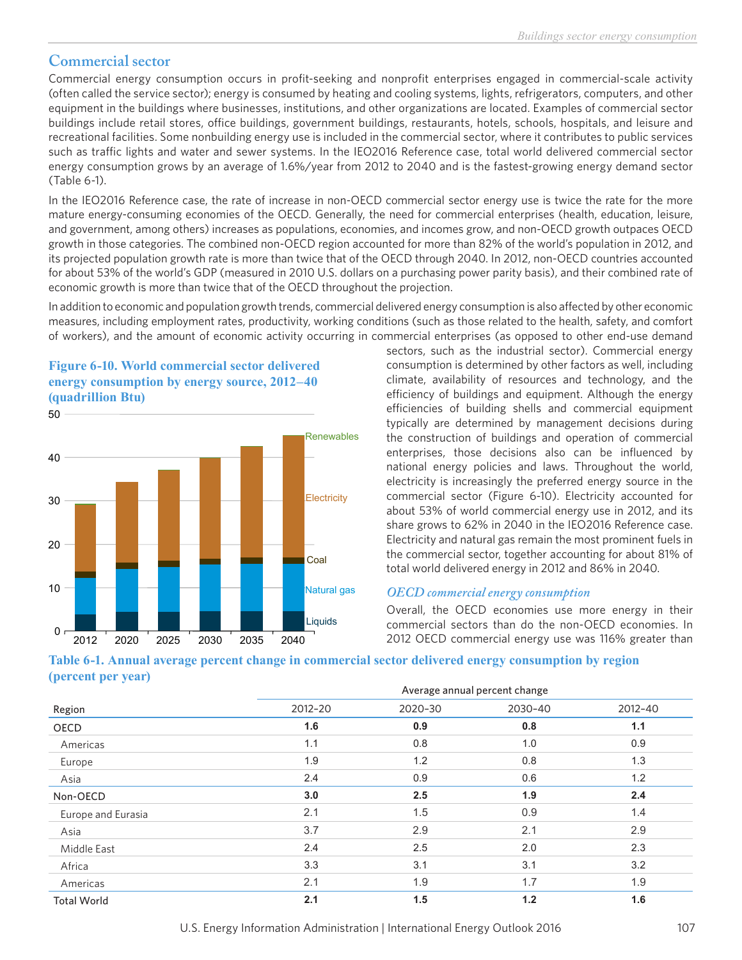### **Commercial sector**

Commercial energy consumption occurs in profit-seeking and nonprofit enterprises engaged in commercial-scale activity (often called the service sector); energy is consumed by heating and cooling systems, lights, refrigerators, computers, and other equipment in the buildings where businesses, institutions, and other organizations are located. Examples of commercial sector buildings include retail stores, office buildings, government buildings, restaurants, hotels, schools, hospitals, and leisure and recreational facilities. Some nonbuilding energy use is included in the commercial sector, where it contributes to public services such as traffic lights and water and sewer systems. In the IEO2016 Reference case, total world delivered commercial sector energy consumption grows by an average of 1.6%/year from 2012 to 2040 and is the fastest-growing energy demand sector (Table 6-1).

In the IEO2016 Reference case, the rate of increase in non-OECD commercial sector energy use is twice the rate for the more mature energy-consuming economies of the OECD. Generally, the need for commercial enterprises (health, education, leisure, and government, among others) increases as populations, economies, and incomes grow, and non-OECD growth outpaces OECD growth in those categories. The combined non-OECD region accounted for more than 82% of the world's population in 2012, and its projected population growth rate is more than twice that of the OECD through 2040. In 2012, non-OECD countries accounted for about 53% of the world's GDP (measured in 2010 U.S. dollars on a purchasing power parity basis), and their combined rate of economic growth is more than twice that of the OECD throughout the projection.

In addition to economic and population growth trends, commercial delivered energy consumption is also affected by other economic measures, including employment rates, productivity, working conditions (such as those related to the health, safety, and comfort of workers), and the amount of economic activity occurring in commercial enterprises (as opposed to other end-use demand

### **Figure 6-10. World commercial sector delivered energy consumption by energy source, 2012–40 (quadrillion Btu)**



sectors, such as the industrial sector). Commercial energy consumption is determined by other factors as well, including climate, availability of resources and technology, and the efficiency of buildings and equipment. Although the energy efficiencies of building shells and commercial equipment typically are determined by management decisions during the construction of buildings and operation of commercial enterprises, those decisions also can be influenced by national energy policies and laws. Throughout the world, electricity is increasingly the preferred energy source in the commercial sector (Figure 6-10). Electricity accounted for about 53% of world commercial energy use in 2012, and its share grows to 62% in 2040 in the IEO2016 Reference case. Electricity and natural gas remain the most prominent fuels in the commercial sector, together accounting for about 81% of total world delivered energy in 2012 and 86% in 2040.

#### *OECD commercial energy consumption*

Overall, the OECD economies use more energy in their commercial sectors than do the non-OECD economies. In 2012 OECD commercial energy use was 116% greater than



| Region             | Average annual percent change |         |         |         |
|--------------------|-------------------------------|---------|---------|---------|
|                    | 2012-20                       | 2020-30 | 2030-40 | 2012-40 |
| OECD               | 1.6                           | 0.9     | 0.8     | 1.1     |
| Americas           | 1.1                           | 0.8     | 1.0     | 0.9     |
| Europe             | 1.9                           | 1.2     | 0.8     | 1.3     |
| Asia               | 2.4                           | 0.9     | 0.6     | 1.2     |
| Non-OECD           | 3.0                           | 2.5     | 1.9     | 2.4     |
| Europe and Eurasia | 2.1                           | 1.5     | 0.9     | 1.4     |
| Asia               | 3.7                           | 2.9     | 2.1     | 2.9     |
| Middle East        | 2.4                           | 2.5     | 2.0     | 2.3     |
| Africa             | 3.3                           | 3.1     | 3.1     | 3.2     |
| Americas           | 2.1                           | 1.9     | 1.7     | 1.9     |
| <b>Total World</b> | 2.1                           | 1.5     | 1.2     | 1.6     |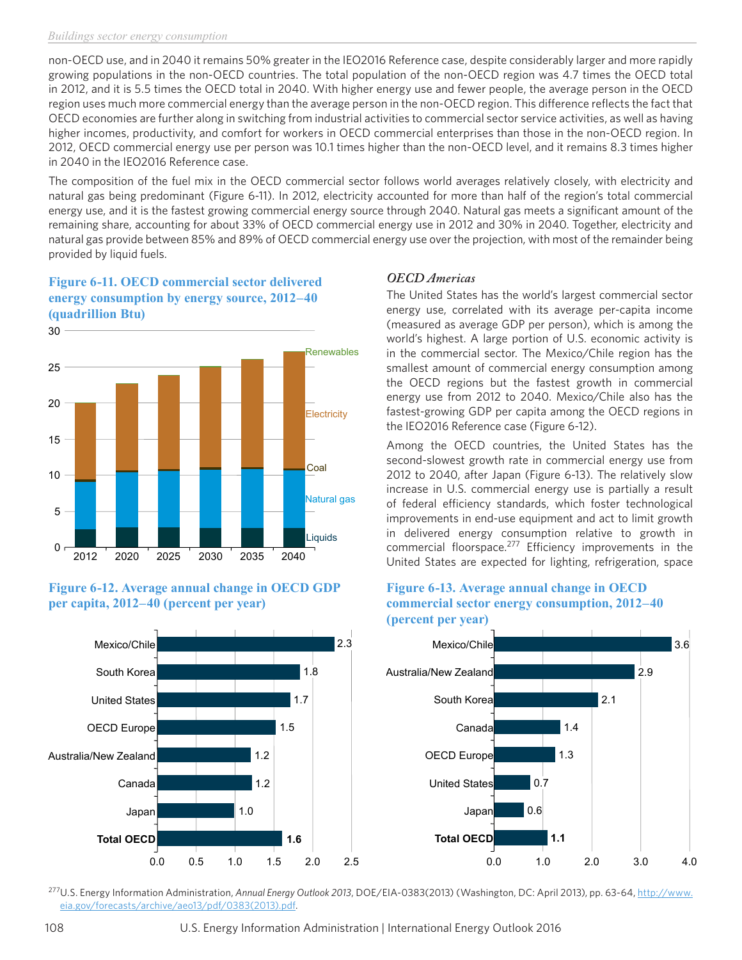non-OECD use, and in 2040 it remains 50% greater in the IEO2016 Reference case, despite considerably larger and more rapidly growing populations in the non-OECD countries. The total population of the non-OECD region was 4.7 times the OECD total in 2012, and it is 5.5 times the OECD total in 2040. With higher energy use and fewer people, the average person in the OECD region uses much more commercial energy than the average person in the non-OECD region. This difference reflects the fact that OECD economies are further along in switching from industrial activities to commercial sector service activities, as well as having higher incomes, productivity, and comfort for workers in OECD commercial enterprises than those in the non-OECD region. In 2012, OECD commercial energy use per person was 10.1 times higher than the non-OECD level, and it remains 8.3 times higher in 2040 in the IEO2016 Reference case.

The composition of the fuel mix in the OECD commercial sector follows world averages relatively closely, with electricity and natural gas being predominant (Figure 6-11). In 2012, electricity accounted for more than half of the region's total commercial energy use, and it is the fastest growing commercial energy source through 2040. Natural gas meets a significant amount of the remaining share, accounting for about 33% of OECD commercial energy use in 2012 and 30% in 2040. Together, electricity and natural gas provide between 85% and 89% of OECD commercial energy use over the projection, with most of the remainder being provided by liquid fuels.

**Figure 6-11. OECD commercial sector delivered energy consumption by energy source, 2012–40 (quadrillion Btu)**



### **Figure 6-12. Average annual change in OECD GDP per capita, 2012–40 (percent per year)**



### *OECD Americas*

The United States has the world's largest commercial sector energy use, correlated with its average per-capita income (measured as average GDP per person), which is among the world's highest. A large portion of U.S. economic activity is in the commercial sector. The Mexico/Chile region has the smallest amount of commercial energy consumption among the OECD regions but the fastest growth in commercial energy use from 2012 to 2040. Mexico/Chile also has the fastest-growing GDP per capita among the OECD regions in the IEO2016 Reference case (Figure 6-12).

Among the OECD countries, the United States has the second-slowest growth rate in commercial energy use from 2012 to 2040, after Japan (Figure 6-13). The relatively slow increase in U.S. commercial energy use is partially a result of federal efficiency standards, which foster technological improvements in end-use equipment and act to limit growth in delivered energy consumption relative to growth in commercial floorspace.277 Efficiency improvements in the United States are expected for lighting, refrigeration, space

### **Figure 6-13. Average annual change in OECD commercial sector energy consumption, 2012–40 (percent per year)**



277U.S. Energy Information Administration, *Annual Energy Outlook 2013*, DOE/EIA-0383(2013) (Washington, DC: April 2013), pp. 63-64, [http://www.](http://www.eia.gov/forecasts/archive/aeo13/pdf/0383(2013).pdf) [eia.gov/forecasts/archive/aeo13/pdf/0383\(2013\).pdf.](http://www.eia.gov/forecasts/archive/aeo13/pdf/0383(2013).pdf)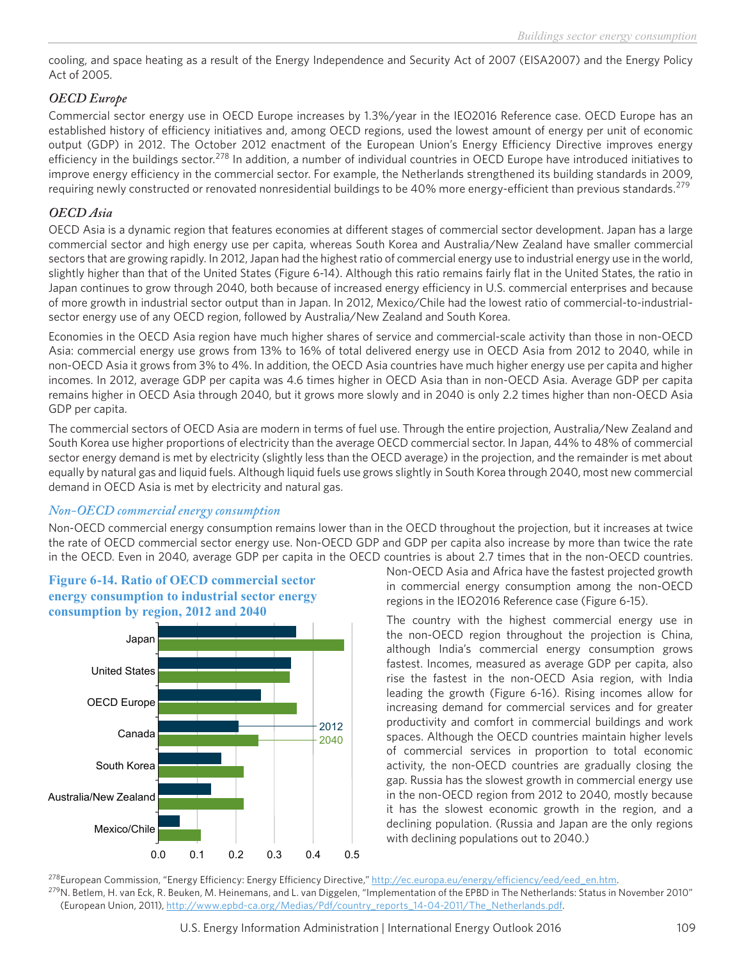cooling, and space heating as a result of the Energy Independence and Security Act of 2007 (EISA2007) and the Energy Policy Act of 2005.

### *OECD Europe*

Commercial sector energy use in OECD Europe increases by 1.3%/year in the IEO2016 Reference case. OECD Europe has an established history of efficiency initiatives and, among OECD regions, used the lowest amount of energy per unit of economic output (GDP) in 2012. The October 2012 enactment of the European Union's Energy Efficiency Directive improves energy efficiency in the buildings sector.<sup>278</sup> In addition, a number of individual countries in OECD Europe have introduced initiatives to improve energy efficiency in the commercial sector. For example, the Netherlands strengthened its building standards in 2009, requiring newly constructed or renovated nonresidential buildings to be 40% more energy-efficient than previous standards.<sup>279</sup>

### *OECD Asia*

OECD Asia is a dynamic region that features economies at different stages of commercial sector development. Japan has a large commercial sector and high energy use per capita, whereas South Korea and Australia/New Zealand have smaller commercial sectors that are growing rapidly. In 2012, Japan had the highest ratio of commercial energy use to industrial energy use in the world, slightly higher than that of the United States (Figure 6-14). Although this ratio remains fairly flat in the United States, the ratio in Japan continues to grow through 2040, both because of increased energy efficiency in U.S. commercial enterprises and because of more growth in industrial sector output than in Japan. In 2012, Mexico/Chile had the lowest ratio of commercial-to-industrialsector energy use of any OECD region, followed by Australia/New Zealand and South Korea.

Economies in the OECD Asia region have much higher shares of service and commercial-scale activity than those in non-OECD Asia: commercial energy use grows from 13% to 16% of total delivered energy use in OECD Asia from 2012 to 2040, while in non-OECD Asia it grows from 3% to 4%. In addition, the OECD Asia countries have much higher energy use per capita and higher incomes. In 2012, average GDP per capita was 4.6 times higher in OECD Asia than in non-OECD Asia. Average GDP per capita remains higher in OECD Asia through 2040, but it grows more slowly and in 2040 is only 2.2 times higher than non-OECD Asia GDP per capita.

The commercial sectors of OECD Asia are modern in terms of fuel use. Through the entire projection, Australia/New Zealand and South Korea use higher proportions of electricity than the average OECD commercial sector. In Japan, 44% to 48% of commercial sector energy demand is met by electricity (slightly less than the OECD average) in the projection, and the remainder is met about equally by natural gas and liquid fuels. Although liquid fuels use grows slightly in South Korea through 2040, most new commercial demand in OECD Asia is met by electricity and natural gas.

#### *Non-OECD commercial energy consumption*

Non-OECD commercial energy consumption remains lower than in the OECD throughout the projection, but it increases at twice the rate of OECD commercial sector energy use. Non-OECD GDP and GDP per capita also increase by more than twice the rate in the OECD. Even in 2040, average GDP per capita in the OECD countries is about 2.7 times that in the non-OECD countries.



**Figure 6-14. Ratio of OECD commercial sector** 

Non-OECD Asia and Africa have the fastest projected growth in commercial energy consumption among the non-OECD regions in the IEO2016 Reference case (Figure 6-15).

The country with the highest commercial energy use in the non-OECD region throughout the projection is China, although India's commercial energy consumption grows fastest. Incomes, measured as average GDP per capita, also rise the fastest in the non-OECD Asia region, with India leading the growth (Figure 6-16). Rising incomes allow for increasing demand for commercial services and for greater productivity and comfort in commercial buildings and work spaces. Although the OECD countries maintain higher levels of commercial services in proportion to total economic activity, the non-OECD countries are gradually closing the gap. Russia has the slowest growth in commercial energy use in the non-OECD region from 2012 to 2040, mostly because it has the slowest economic growth in the region, and a declining population. (Russia and Japan are the only regions with declining populations out to 2040.)

<sup>278</sup>European Commission, "Energy Efficiency: Energy Efficiency Directive," [http://ec.europa.eu/energy/efficiency/eed/eed\\_en.htm](http://ec.europa.eu/energy/efficiency/eed/eed_en.htm). <sup>279</sup>N. Betlem, H. van Eck, R. Beuken, M. Heinemans, and L. van Diggelen, "Implementation of the EPBD in The Netherlands: Status in November 2010" (European Union, 2011), [http://www.epbd-ca.org/Medias/Pdf/country\\_reports\\_14-04-2011/The\\_Netherlands.pdf](http://www.epbd-ca.org/Medias/Pdf/country_reports_14-04-2011/The_Netherlands.pdf).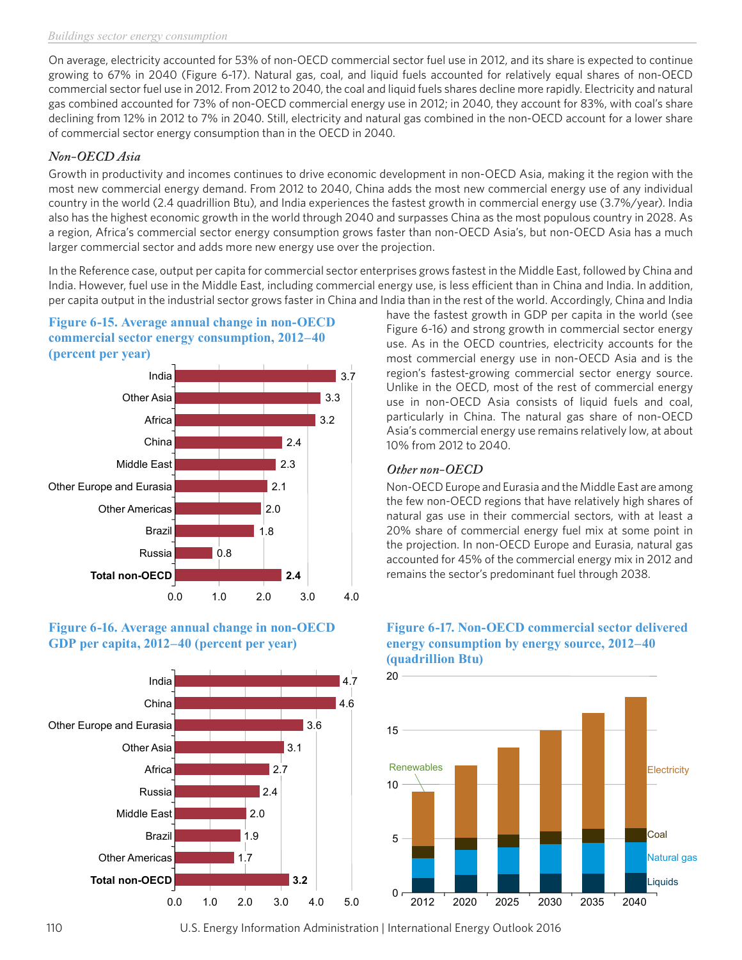On average, electricity accounted for 53% of non-OECD commercial sector fuel use in 2012, and its share is expected to continue growing to 67% in 2040 (Figure 6-17). Natural gas, coal, and liquid fuels accounted for relatively equal shares of non-OECD commercial sector fuel use in 2012. From 2012 to 2040, the coal and liquid fuels shares decline more rapidly. Electricity and natural gas combined accounted for 73% of non-OECD commercial energy use in 2012; in 2040, they account for 83%, with coal's share declining from 12% in 2012 to 7% in 2040. Still, electricity and natural gas combined in the non-OECD account for a lower share of commercial sector energy consumption than in the OECD in 2040.

# *Non-OECD Asia*

Growth in productivity and incomes continues to drive economic development in non-OECD Asia, making it the region with the most new commercial energy demand. From 2012 to 2040, China adds the most new commercial energy use of any individual country in the world (2.4 quadrillion Btu), and India experiences the fastest growth in commercial energy use (3.7%/year). India also has the highest economic growth in the world through 2040 and surpasses China as the most populous country in 2028. As a region, Africa's commercial sector energy consumption grows faster than non-OECD Asia's, but non-OECD Asia has a much larger commercial sector and adds more new energy use over the projection.

In the Reference case, output per capita for commercial sector enterprises grows fastest in the Middle East, followed by China and India. However, fuel use in the Middle East, including commercial energy use, is less efficient than in China and India. In addition, per capita output in the industrial sector grows faster in China and India than in the rest of the world. Accordingly, China and India

### **Figure 6-15. Average annual change in non-OECD commercial sector energy consumption, 2012–40 (percent per year)**







have the fastest growth in GDP per capita in the world (see Figure 6-16) and strong growth in commercial sector energy use. As in the OECD countries, electricity accounts for the most commercial energy use in non-OECD Asia and is the region's fastest-growing commercial sector energy source. Unlike in the OECD, most of the rest of commercial energy use in non-OECD Asia consists of liquid fuels and coal, particularly in China. The natural gas share of non-OECD Asia's commercial energy use remains relatively low, at about 10% from 2012 to 2040.

# *Other non-OECD*

Non-OECD Europe and Eurasia and the Middle East are among the few non-OECD regions that have relatively high shares of natural gas use in their commercial sectors, with at least a 20% share of commercial energy fuel mix at some point in the projection. In non-OECD Europe and Eurasia, natural gas accounted for 45% of the commercial energy mix in 2012 and **2.4 remains the sector's predominant fuel through 2038.** 

### **Figure 6-17. Non-OECD commercial sector delivered energy consumption by energy source, 2012–40 (quadrillion Btu)**



110 U.S. Energy Information Administration | International Energy Outlook 2016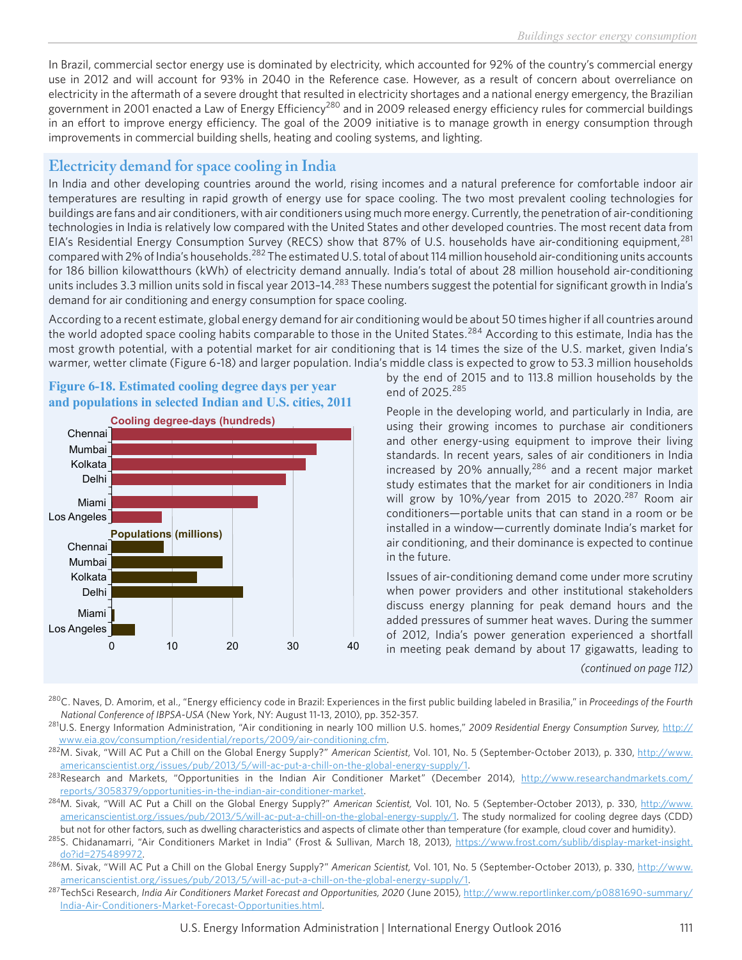In Brazil, commercial sector energy use is dominated by electricity, which accounted for 92% of the country's commercial energy use in 2012 and will account for 93% in 2040 in the Reference case. However, as a result of concern about overreliance on electricity in the aftermath of a severe drought that resulted in electricity shortages and a national energy emergency, the Brazilian government in 2001 enacted a Law of Energy Efficiency<sup>280</sup> and in 2009 released energy efficiency rules for commercial buildings in an effort to improve energy efficiency. The goal of the 2009 initiative is to manage growth in energy consumption through improvements in commercial building shells, heating and cooling systems, and lighting.

# **Electricity demand for space cooling in India**

In India and other developing countries around the world, rising incomes and a natural preference for comfortable indoor air temperatures are resulting in rapid growth of energy use for space cooling. The two most prevalent cooling technologies for buildings are fans and air conditioners, with air conditioners using much more energy. Currently, the penetration of air-conditioning technologies in India is relatively low compared with the United States and other developed countries. The most recent data from EIA's Residential Energy Consumption Survey (RECS) show that 87% of U.S. households have air-conditioning equipment,<sup>281</sup> compared with 2% of India's households.<sup>282</sup> The estimated U.S. total of about 114 million household air-conditioning units accounts for 186 billion kilowatthours (kWh) of electricity demand annually. India's total of about 28 million household air-conditioning units includes 3.3 million units sold in fiscal year 2013-14.<sup>283</sup> These numbers suggest the potential for significant growth in India's demand for air conditioning and energy consumption for space cooling.

According to a recent estimate, global energy demand for air conditioning would be about 50 times higher if all countries around the world adopted space cooling habits comparable to those in the United States.<sup>284</sup> According to this estimate, India has the most growth potential, with a potential market for air conditioning that is 14 times the size of the U.S. market, given India's warmer, wetter climate (Figure 6-18) and larger population. India's middle class is expected to grow to 53.3 million households

### **Figure 6-18. Estimated cooling degree days per year and populations in selected Indian and U.S. cities, 2011**



by the end of 2015 and to 113.8 million households by the end of 2025.<sup>285</sup>

People in the developing world, and particularly in India, are using their growing incomes to purchase air conditioners and other energy-using equipment to improve their living standards. In recent years, sales of air conditioners in India increased by 20% annually,  $286$  and a recent major market study estimates that the market for air conditioners in India will grow by 10%/year from 2015 to 2020.<sup>287</sup> Room air conditioners—portable units that can stand in a room or be installed in a window—currently dominate India's market for air conditioning, and their dominance is expected to continue in the future.

Issues of air-conditioning demand come under more scrutiny when power providers and other institutional stakeholders discuss energy planning for peak demand hours and the added pressures of summer heat waves. During the summer of 2012, India's power generation experienced a shortfall in meeting peak demand by about 17 gigawatts, leading to

*(continued on page 112)*

280C. Naves, D. Amorim, et al., "Energy efficiency code in Brazil: Experiences in the first public building labeled in Brasilia," in *Proceedings of the Fourth National Conference of IBPSA-USA* (New York, NY: August 11-13, 2010), pp. 352-357.

<sup>281</sup>U.S. Energy Information Administration, "Air conditioning in nearly 100 million U.S. homes," *2009 Residential Energy Consumption Survey,* [http://](http://www.eia.gov/consumption/residential/reports/2009/air-conditioning.cfm) [www.eia.gov/consumption/residential/reports/2009/air-conditioning.cfm](http://www.eia.gov/consumption/residential/reports/2009/air-conditioning.cfm).

<sup>282</sup>M. Sivak, "Will AC Put a Chill on the Global Energy Supply?" *American Scientist,* Vol. 101, No. 5 (September-October 2013), p. 330, [http://www.](http://www.americanscientist.org/issues/pub/2013/5/will-ac-put-a-chill-on-the-global-energy-supply/1) [americanscientist.org/issues/pub/2013/5/will-ac-put-a-chill-on-the-global-energy-supply/1](http://www.americanscientist.org/issues/pub/2013/5/will-ac-put-a-chill-on-the-global-energy-supply/1).

<sup>&</sup>lt;sup>283</sup>Research and Markets, "Opportunities in the Indian Air Conditioner Market" (December 2014), [http://www.researchandmarkets.com/](http://www.researchandmarkets.com/reports/3058379/opportunities-in-the-indian-air-conditioner-market) [reports/3058379/opportunities-in-the-indian-air-conditioner-market](http://www.researchandmarkets.com/reports/3058379/opportunities-in-the-indian-air-conditioner-market).

<sup>284</sup>M. Sivak, "Will AC Put a Chill on the Global Energy Supply?" *American Scientist,* Vol. 101, No. 5 (September-October 2013), p. 330, [http://www.](http://www.americanscientist.org/issues/pub/2013/5/will-ac-put-a-chill-on-the-global-energy-supply/1) [americanscientist.org/issues/pub/2013/5/will-ac-put-a-chill-on-the-global-energy-supply/1.](http://www.americanscientist.org/issues/pub/2013/5/will-ac-put-a-chill-on-the-global-energy-supply/1) The study normalized for cooling degree days (CDD) but not for other factors, such as dwelling characteristics and aspects of climate other than temperature (for example, cloud cover and humidity).

<sup>285</sup>S. Chidanamarri, "Air Conditioners Market in India" (Frost & Sullivan, March 18, 2013), [https://www.frost.com/sublib/display-market-insight.](https://www.frost.com/sublib/display-market-insight.do?id=275489972) [do?id=275489972.](https://www.frost.com/sublib/display-market-insight.do?id=275489972)

<sup>286</sup>M. Sivak, "Will AC Put a Chill on the Global Energy Supply?" *American Scientist,* Vol. 101, No. 5 (September-October 2013), p. 330, [http://www.](http://www.americanscientist.org/issues/pub/2013/5/will-ac-put-a-chill-on-the-global-energy-supply/1) [americanscientist.org/issues/pub/2013/5/will-ac-put-a-chill-on-the-global-energy-supply/1](http://www.americanscientist.org/issues/pub/2013/5/will-ac-put-a-chill-on-the-global-energy-supply/1).

<sup>&</sup>lt;sup>287</sup>TechSci Research, India Air Conditioners Market Forecast and Opportunities, 2020 (June 2015), [http://www.reportlinker.com/p0881690-summary/](http://www.reportlinker.com/p0881690-summary/India-Air-Conditioners-Market-Forecast-Opportunities.html) [India-Air-Conditioners-Market-Forecast-Opportunities.html.](http://www.reportlinker.com/p0881690-summary/India-Air-Conditioners-Market-Forecast-Opportunities.html)